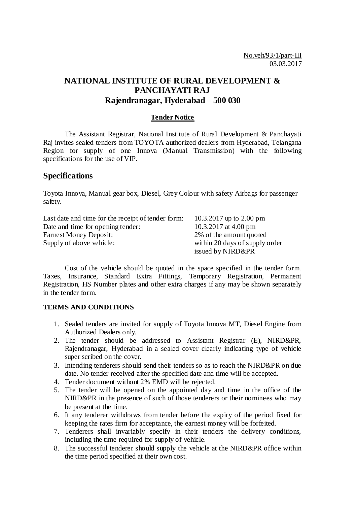# **NATIONAL INSTITUTE OF RURAL DEVELOPMENT & PANCHAYATI RAJ Rajendranagar, Hyderabad – 500 030**

## **Tender Notice**

The Assistant Registrar, National Institute of Rural Development & Panchayati Raj invites sealed tenders from TOYOTA authorized dealers from Hyderabad, Telangana Region for supply of one Innova (Manual Transmission) with the following specifications for the use of VIP.

## **Specifications**

Toyota Innova, Manual gear box, Diesel, Grey Colour with safety Airbags for passenger safety.

| Last date and time for the receipt of tender form: | 10.3.2017 up to 2.00 pm        |
|----------------------------------------------------|--------------------------------|
| Date and time for opening tender:                  | 10.3.2017 at 4.00 pm           |
| Earnest Money Deposit:                             | 2% of the amount quoted        |
| Supply of above vehicle:                           | within 20 days of supply order |
|                                                    | issued by NIRD&PR              |

Cost of the vehicle should be quoted in the space specified in the tender form. Taxes, Insurance, Standard Extra Fittings, Temporary Registration, Permanent Registration, HS Number plates and other extra charges if any may be shown separately in the tender form.

### **TERMS AND CONDITIONS**

- 1. Sealed tenders are invited for supply of Toyota Innova MT, Diesel Engine from Authorized Dealers only.
- 2. The tender should be addressed to Assistant Registrar (E), NIRD&PR, Rajendranagar, Hyderabad in a sealed cover clearly indicating type of vehicle super scribed on the cover.
- 3. Intending tenderers should send their tenders so as to reach the NIRD&PR on due date. No tender received after the specified date and time will be accepted.
- 4. Tender document without 2% EMD will be rejected.
- 5. The tender will be opened on the appointed day and time in the office of the NIRD&PR in the presence of such of those tenderers or their nominees who may be present at the time.
- 6. It any tenderer withdraws from tender before the expiry of the period fixed for keeping the rates firm for acceptance, the earnest money will be forfeited.
- 7. Tenderers shall invariably specify in their tenders the delivery conditions, including the time required for supply of vehicle.
- 8. The successful tenderer should supply the vehicle at the NIRD&PR office within the time period specified at their own cost.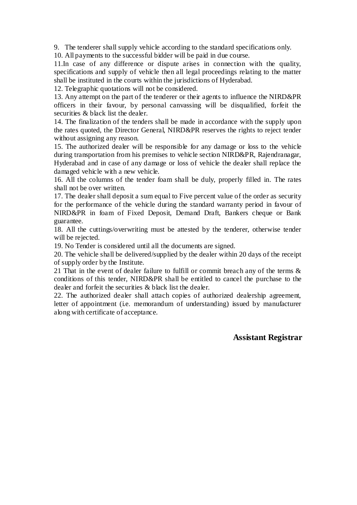9. The tenderer shall supply vehicle according to the standard specifications only.

10. All payments to the successful bidder will be paid in due course.

11.In case of any difference or dispute arises in connection with the quality, specifications and supply of vehicle then all legal proceedings relating to the matter shall be instituted in the courts within the jurisdictions of Hyderabad.

12. Telegraphic quotations will not be considered.

13. Any attempt on the part of the tenderer or their agents to influence the NIRD&PR officers in their favour, by personal canvassing will be disqualified, forfeit the securities & black list the dealer.

14. The finalization of the tenders shall be made in accordance with the supply upon the rates quoted, the Director General, NIRD&PR reserves the rights to reject tender without assigning any reason.

15. The authorized dealer will be responsible for any damage or loss to the vehicle during transportation from his premises to vehicle section NIRD&PR, Rajendranagar, Hyderabad and in case of any damage or loss of vehicle the dealer shall replace the damaged vehicle with a new vehicle.

16. All the columns of the tender foam shall be duly, properly filled in. The rates shall not be over written.

17. The dealer shall deposit a sum equal to Five percent value of the order as security for the performance of the vehicle during the standard warranty period in favour of NIRD&PR in foam of Fixed Deposit, Demand Draft, Bankers cheque or Bank guarantee.

18. All the cuttings/overwriting must be attested by the tenderer, otherwise tender will be rejected.

19. No Tender is considered until all the documents are signed.

20. The vehicle shall be delivered/supplied by the dealer within 20 days of the receipt of supply order by the Institute.

21 That in the event of dealer failure to fulfill or commit breach any of the terms & conditions of this tender, NIRD&PR shall be entitled to cancel the purchase to the dealer and forfeit the securities & black list the dealer.

22. The authorized dealer shall attach copies of authorized dealership agreement, letter of appointment (i.e. memorandum of understanding) issued by manufacturer along with certificate of acceptance.

## **Assistant Registrar**